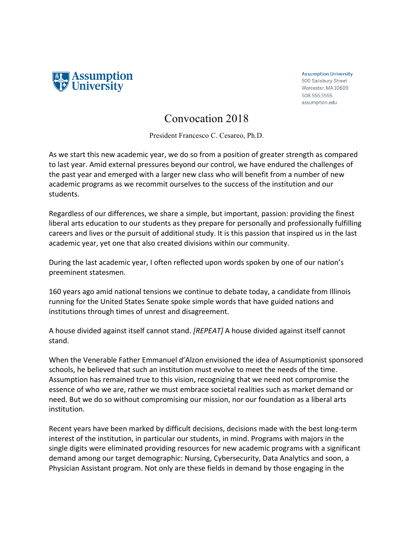

**Assumption University** 500 Salisbury Street Worcester, MA 10609 508.555.5555 assumption.edu

## Convocation 2018

President Francesco C. Cesareo, Ph.D.

As we start this new academic year, we do so from a position of greater strength as compared to last year. Amid external pressures beyond our control, we have endured the challenges of the past year and emerged with a larger new class who will benefit from a number of new academic programs as we recommit ourselves to the success of the institution and our students. 

Regardless of our differences, we share a simple, but important, passion: providing the finest liberal arts education to our students as they prepare for personally and professionally fulfilling careers and lives or the pursuit of additional study. It is this passion that inspired us in the last academic year, yet one that also created divisions within our community.

During the last academic year, I often reflected upon words spoken by one of our nation's preeminent statesmen.

160 years ago amid national tensions we continue to debate today, a candidate from Illinois running for the United States Senate spoke simple words that have guided nations and institutions through times of unrest and disagreement.

A house divided against itself cannot stand. *[REPEAT]* A house divided against itself cannot stand. 

When the Venerable Father Emmanuel d'Alzon envisioned the idea of Assumptionist sponsored schools, he believed that such an institution must evolve to meet the needs of the time. Assumption has remained true to this vision, recognizing that we need not compromise the essence of who we are, rather we must embrace societal realities such as market demand or need. But we do so without compromising our mission, nor our foundation as a liberal arts institution. 

Recent years have been marked by difficult decisions, decisions made with the best long-term interest of the institution, in particular our students, in mind. Programs with majors in the single digits were eliminated providing resources for new academic programs with a significant demand among our target demographic: Nursing, Cybersecurity, Data Analytics and soon, a Physician Assistant program. Not only are these fields in demand by those engaging in the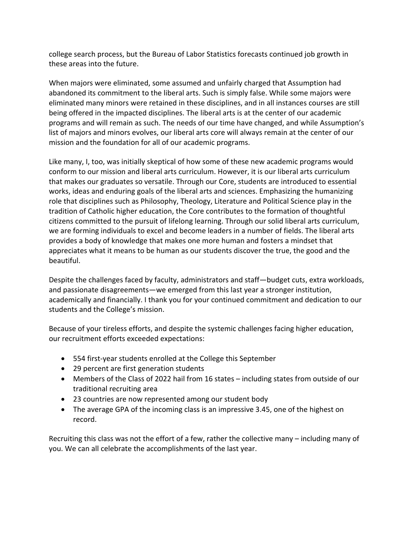college search process, but the Bureau of Labor Statistics forecasts continued job growth in these areas into the future.

When majors were eliminated, some assumed and unfairly charged that Assumption had abandoned its commitment to the liberal arts. Such is simply false. While some majors were eliminated many minors were retained in these disciplines, and in all instances courses are still being offered in the impacted disciplines. The liberal arts is at the center of our academic programs and will remain as such. The needs of our time have changed, and while Assumption's list of majors and minors evolves, our liberal arts core will always remain at the center of our mission and the foundation for all of our academic programs.

Like many, I, too, was initially skeptical of how some of these new academic programs would conform to our mission and liberal arts curriculum. However, it is our liberal arts curriculum that makes our graduates so versatile. Through our Core, students are introduced to essential works, ideas and enduring goals of the liberal arts and sciences. Emphasizing the humanizing role that disciplines such as Philosophy, Theology, Literature and Political Science play in the tradition of Catholic higher education, the Core contributes to the formation of thoughtful citizens committed to the pursuit of lifelong learning. Through our solid liberal arts curriculum, we are forming individuals to excel and become leaders in a number of fields. The liberal arts provides a body of knowledge that makes one more human and fosters a mindset that appreciates what it means to be human as our students discover the true, the good and the beautiful. 

Despite the challenges faced by faculty, administrators and staff—budget cuts, extra workloads, and passionate disagreements—we emerged from this last year a stronger institution, academically and financially. I thank you for your continued commitment and dedication to our students and the College's mission.

Because of your tireless efforts, and despite the systemic challenges facing higher education, our recruitment efforts exceeded expectations:

- 554 first-year students enrolled at the College this September
- 29 percent are first generation students
- Members of the Class of 2022 hail from 16 states including states from outside of our traditional recruiting area
- 23 countries are now represented among our student body
- The average GPA of the incoming class is an impressive 3.45, one of the highest on record.

Recruiting this class was not the effort of a few, rather the collective many – including many of you. We can all celebrate the accomplishments of the last year.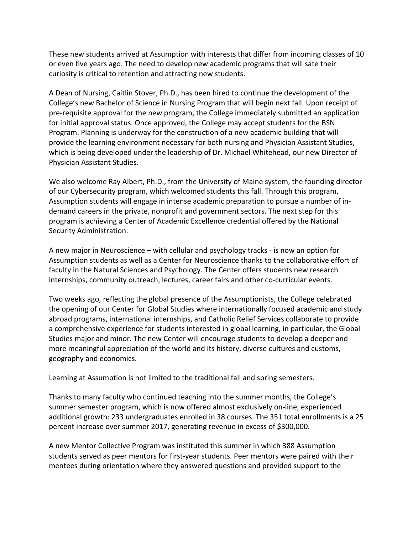These new students arrived at Assumption with interests that differ from incoming classes of 10 or even five years ago. The need to develop new academic programs that will sate their curiosity is critical to retention and attracting new students.

A Dean of Nursing, Caitlin Stover, Ph.D., has been hired to continue the development of the College's new Bachelor of Science in Nursing Program that will begin next fall. Upon receipt of pre-requisite approval for the new program, the College immediately submitted an application for initial approval status. Once approved, the College may accept students for the BSN Program. Planning is underway for the construction of a new academic building that will provide the learning environment necessary for both nursing and Physician Assistant Studies, which is being developed under the leadership of Dr. Michael Whitehead, our new Director of Physician Assistant Studies.

We also welcome Ray Albert, Ph.D., from the University of Maine system, the founding director of our Cybersecurity program, which welcomed students this fall. Through this program, Assumption students will engage in intense academic preparation to pursue a number of indemand careers in the private, nonprofit and government sectors. The next step for this program is achieving a Center of Academic Excellence credential offered by the National Security Administration.

A new major in Neuroscience – with cellular and psychology tracks - is now an option for Assumption students as well as a Center for Neuroscience thanks to the collaborative effort of faculty in the Natural Sciences and Psychology. The Center offers students new research internships, community outreach, lectures, career fairs and other co-curricular events.

Two weeks ago, reflecting the global presence of the Assumptionists, the College celebrated the opening of our Center for Global Studies where internationally focused academic and study abroad programs, international internships, and Catholic Relief Services collaborate to provide a comprehensive experience for students interested in global learning, in particular, the Global Studies major and minor. The new Center will encourage students to develop a deeper and more meaningful appreciation of the world and its history, diverse cultures and customs, geography and economics.

Learning at Assumption is not limited to the traditional fall and spring semesters.

Thanks to many faculty who continued teaching into the summer months, the College's summer semester program, which is now offered almost exclusively on-line, experienced additional growth: 233 undergraduates enrolled in 38 courses. The 351 total enrollments is a 25 percent increase over summer 2017, generating revenue in excess of \$300,000.

A new Mentor Collective Program was instituted this summer in which 388 Assumption students served as peer mentors for first-year students. Peer mentors were paired with their mentees during orientation where they answered questions and provided support to the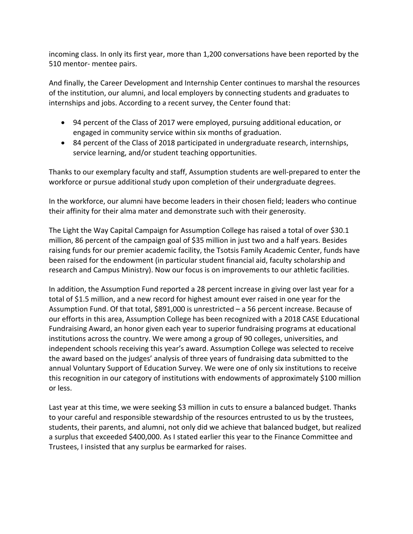incoming class. In only its first year, more than 1,200 conversations have been reported by the 510 mentor- mentee pairs.

And finally, the Career Development and Internship Center continues to marshal the resources of the institution, our alumni, and local employers by connecting students and graduates to internships and jobs. According to a recent survey, the Center found that:

- 94 percent of the Class of 2017 were employed, pursuing additional education, or engaged in community service within six months of graduation.
- 84 percent of the Class of 2018 participated in undergraduate research, internships, service learning, and/or student teaching opportunities.

Thanks to our exemplary faculty and staff, Assumption students are well-prepared to enter the workforce or pursue additional study upon completion of their undergraduate degrees.

In the workforce, our alumni have become leaders in their chosen field; leaders who continue their affinity for their alma mater and demonstrate such with their generosity.

The Light the Way Capital Campaign for Assumption College has raised a total of over \$30.1 million, 86 percent of the campaign goal of \$35 million in just two and a half years. Besides raising funds for our premier academic facility, the Tsotsis Family Academic Center, funds have been raised for the endowment (in particular student financial aid, faculty scholarship and research and Campus Ministry). Now our focus is on improvements to our athletic facilities.

In addition, the Assumption Fund reported a 28 percent increase in giving over last year for a total of \$1.5 million, and a new record for highest amount ever raised in one year for the Assumption Fund. Of that total,  $$891,000$  is unrestricted  $-$  a 56 percent increase. Because of our efforts in this area, Assumption College has been recognized with a 2018 CASE Educational Fundraising Award, an honor given each year to superior fundraising programs at educational institutions across the country. We were among a group of 90 colleges, universities, and independent schools receiving this year's award. Assumption College was selected to receive the award based on the judges' analysis of three years of fundraising data submitted to the annual Voluntary Support of Education Survey. We were one of only six institutions to receive this recognition in our category of institutions with endowments of approximately \$100 million or less. 

Last year at this time, we were seeking \$3 million in cuts to ensure a balanced budget. Thanks to your careful and responsible stewardship of the resources entrusted to us by the trustees, students, their parents, and alumni, not only did we achieve that balanced budget, but realized a surplus that exceeded \$400,000. As I stated earlier this year to the Finance Committee and Trustees, I insisted that any surplus be earmarked for raises.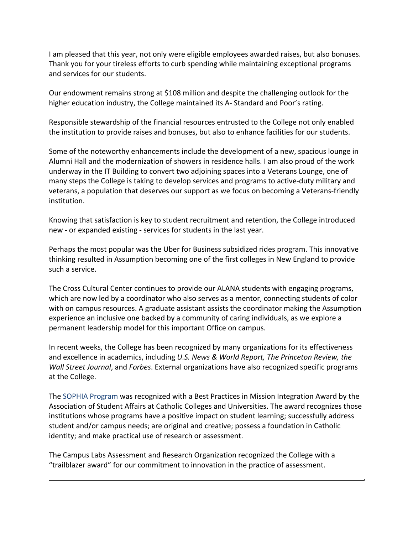I am pleased that this year, not only were eligible employees awarded raises, but also bonuses. Thank you for your tireless efforts to curb spending while maintaining exceptional programs and services for our students.

Our endowment remains strong at \$108 million and despite the challenging outlook for the higher education industry, the College maintained its A- Standard and Poor's rating.

Responsible stewardship of the financial resources entrusted to the College not only enabled the institution to provide raises and bonuses, but also to enhance facilities for our students.

Some of the noteworthy enhancements include the development of a new, spacious lounge in Alumni Hall and the modernization of showers in residence halls. I am also proud of the work underway in the IT Building to convert two adjoining spaces into a Veterans Lounge, one of many steps the College is taking to develop services and programs to active-duty military and veterans, a population that deserves our support as we focus on becoming a Veterans-friendly institution. 

Knowing that satisfaction is key to student recruitment and retention, the College introduced new - or expanded existing - services for students in the last year.

Perhaps the most popular was the Uber for Business subsidized rides program. This innovative thinking resulted in Assumption becoming one of the first colleges in New England to provide such a service.

The Cross Cultural Center continues to provide our ALANA students with engaging programs, which are now led by a coordinator who also serves as a mentor, connecting students of color with on campus resources. A graduate assistant assists the coordinator making the Assumption experience an inclusive one backed by a community of caring individuals, as we explore a permanent leadership model for this important Office on campus.

In recent weeks, the College has been recognized by many organizations for its effectiveness and excellence in academics, including *U.S. News & World Report, The Princeton Review, the Wall Street Journal*, and *Forbes*. External organizations have also recognized specific programs at the College.

The SOPHIA Program was recognized with a Best Practices in Mission Integration Award by the Association of Student Affairs at Catholic Colleges and Universities. The award recognizes those institutions whose programs have a positive impact on student learning; successfully address student and/or campus needs; are original and creative; possess a foundation in Catholic identity; and make practical use of research or assessment.

The Campus Labs Assessment and Research Organization recognized the College with a "trailblazer award" for our commitment to innovation in the practice of assessment.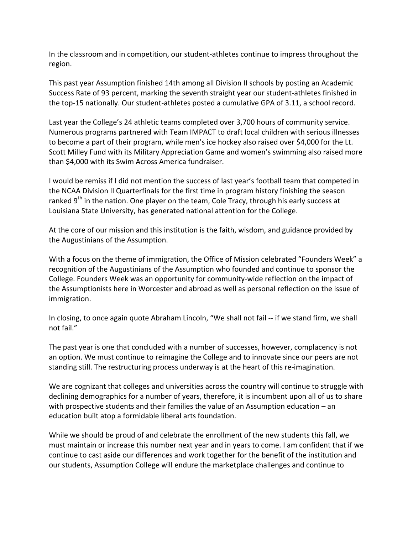In the classroom and in competition, our student-athletes continue to impress throughout the region. 

This past year Assumption finished 14th among all Division II schools by posting an Academic Success Rate of 93 percent, marking the seventh straight year our student-athletes finished in the top-15 nationally. Our student-athletes posted a cumulative GPA of 3.11, a school record.

Last year the College's 24 athletic teams completed over 3,700 hours of community service. Numerous programs partnered with Team IMPACT to draft local children with serious illnesses to become a part of their program, while men's ice hockey also raised over \$4,000 for the Lt. Scott Milley Fund with its Military Appreciation Game and women's swimming also raised more than \$4,000 with its Swim Across America fundraiser.

I would be remiss if I did not mention the success of last year's football team that competed in the NCAA Division II Quarterfinals for the first time in program history finishing the season ranked 9<sup>th</sup> in the nation. One player on the team, Cole Tracy, through his early success at Louisiana State University, has generated national attention for the College.

At the core of our mission and this institution is the faith, wisdom, and guidance provided by the Augustinians of the Assumption.

With a focus on the theme of immigration, the Office of Mission celebrated "Founders Week" a recognition of the Augustinians of the Assumption who founded and continue to sponsor the College. Founders Week was an opportunity for community-wide reflection on the impact of the Assumptionists here in Worcester and abroad as well as personal reflection on the issue of immigration. 

In closing, to once again quote Abraham Lincoln, "We shall not fail -- if we stand firm, we shall not fail."

The past year is one that concluded with a number of successes, however, complacency is not an option. We must continue to reimagine the College and to innovate since our peers are not standing still. The restructuring process underway is at the heart of this re-imagination.

We are cognizant that colleges and universities across the country will continue to struggle with declining demographics for a number of years, therefore, it is incumbent upon all of us to share with prospective students and their families the value of an Assumption education  $-$  an education built atop a formidable liberal arts foundation.

While we should be proud of and celebrate the enrollment of the new students this fall, we must maintain or increase this number next year and in years to come. I am confident that if we continue to cast aside our differences and work together for the benefit of the institution and our students, Assumption College will endure the marketplace challenges and continue to